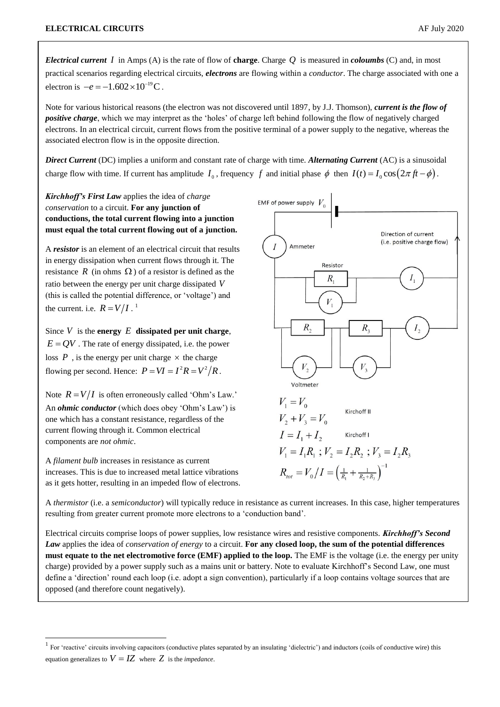*Electrical current I* in Amps (A) is the rate of flow of **charge**. Charge *Q* is measured in *coloumbs* (C) and, in most practical scenarios regarding electrical circuits, *electrons* are flowing within a *conductor*. The charge associated with one a electron is  $-e = -1.602 \times 10^{-19}$  C.

Note for various historical reasons (the electron was not discovered until 1897, by J.J. Thomson), *current is the flow of positive charge*, which we may interpret as the 'holes' of charge left behind following the flow of negatively charged electrons. In an electrical circuit, current flows from the positive terminal of a power supply to the negative, whereas the associated electron flow is in the opposite direction.

*Direct Current* (DC) implies a uniform and constant rate of charge with time. *Alternating Current* (AC) is a sinusoidal charge flow with time. If current has amplitude  $I_0$ , frequency f and initial phase  $\phi$  then  $I(t) = I_0 \cos(2\pi ft - \phi)$ .

*Kirchhoff's First Law* applies the idea of *charge conservation* to a circuit. **For any junction of conductions, the total current flowing into a junction must equal the total current flowing out of a junction.**

A *resistor* is an element of an electrical circuit that results in energy dissipation when current flows through it. The resistance  $R$  (in ohms  $\Omega$ ) of a resistor is defined as the ratio between the energy per unit charge dissipated *V* (this is called the potential difference, or 'voltage') and the current. i.e.  $R = V/I$ .<sup>1</sup>

Since  $V$  is the **energy**  $E$  **dissipated per unit charge**,  $E = QV$ . The rate of energy dissipated, i.e. the power loss  $P$ , is the energy per unit charge  $\times$  the charge flowing per second. Hence:  $P = VI = I^2 R = V^2/R$ .

Note  $R = V/I$  is often erroneously called 'Ohm's Law.' An *ohmic conductor* (which does obey 'Ohm's Law') is one which has a constant resistance, regardless of the current flowing through it. Common electrical components are *not ohmic*.

A *filament bulb* increases in resistance as current increases. This is due to increased metal lattice vibrations as it gets hotter, resulting in an impeded flow of electrons.

-



A *thermistor* (i.e. a *semiconductor*) will typically reduce in resistance as current increases. In this case, higher temperatures resulting from greater current promote more electrons to a 'conduction band'.

Electrical circuits comprise loops of power supplies, low resistance wires and resistive components. *Kirchhoff's Second Law* applies the idea of *conservation of energy* to a circuit. **For any closed loop, the sum of the potential differences must equate to the net electromotive force (EMF) applied to the loop.** The EMF is the voltage (i.e. the energy per unity charge) provided by a power supply such as a mains unit or battery. Note to evaluate Kirchhoff's Second Law, one must define a 'direction' round each loop (i.e. adopt a sign convention), particularly if a loop contains voltage sources that are opposed (and therefore count negatively).

<sup>&</sup>lt;sup>1</sup> For 'reactive' circuits involving capacitors (conductive plates separated by an insulating 'dielectric') and inductors (coils of conductive wire) this equation generalizes to  $V = IZ$  where  $Z$  is the *impedance*.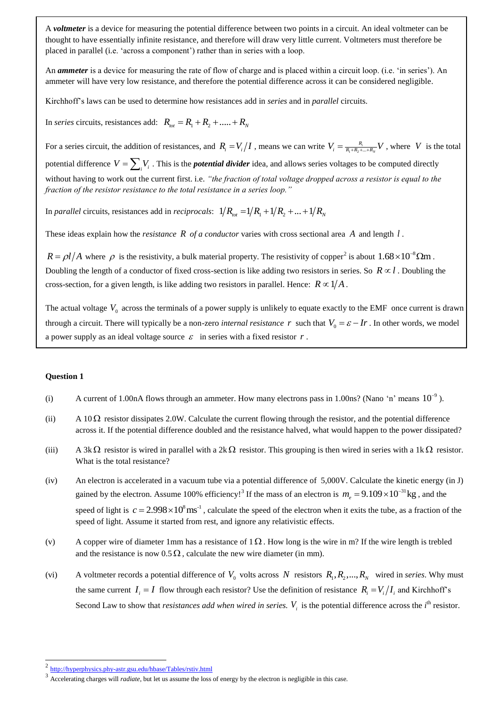A *voltmeter* is a device for measuring the potential difference between two points in a circuit. An ideal voltmeter can be thought to have essentially infinite resistance, and therefore will draw very little current. Voltmeters must therefore be placed in parallel (i.e. 'across a component') rather than in series with a loop.

An *ammeter* is a device for measuring the rate of flow of charge and is placed within a circuit loop. (i.e. 'in series'). An ammeter will have very low resistance, and therefore the potential difference across it can be considered negligible.

Kirchhoff's laws can be used to determine how resistances add in *series* and in *parallel* circuits.

In *series* circuits, resistances add:  $R_{tot} = R_1 + R_2 + \dots + R_N$ 

For a series circuit, the addition of resistances, and  $R_i = V_i/I$ , means we can write  $V_i = \frac{R_i}{R_1 + R_2 + ...}$ *N*  $V_i = \frac{R_i}{R_1 + R_2 + \dots + R_N} V$ , where *V* is the total potential difference  $V = \sum_i V_i$ . This is the *potential divider* idea, and allows series voltages to be computed directly without having to work out the current first. i.e. *"the fraction of total voltage dropped across a resistor is equal to the fraction of the resistor resistance to the total resistance in a series loop."*

In *parallel* circuits, resistances add in *reciprocals*:  $1/R_{tot} = 1/R_1 + 1/R_2 + ... + 1/R_N$ 

These ideas explain how the *resistance* R of a conductor varies with cross sectional area A and length l.

 $R = \rho l / A$  where  $\rho$  is the resistivity, a bulk material property. The resistivity of copper<sup>2</sup> is about  $1.68 \times 10^{-8} \Omega m$ . Doubling the length of a conductor of fixed cross-section is like adding two resistors in series. So  $R \propto l$ . Doubling the cross-section, for a given length, is like adding two resistors in parallel. Hence:  $R \propto 1/A$ .

The actual voltage  $V_0$  across the terminals of a power supply is unlikely to equate exactly to the EMF once current is drawn through a circuit. There will typically be a non-zero *internal resistance* r such that  $V_0 = \varepsilon - Ir$ . In other words, we model a power supply as an ideal voltage source  $\varepsilon$  in series with a fixed resistor  $r$ .

### **Question 1**

1

- (i) A current of 1.00nA flows through an ammeter. How many electrons pass in 1.00ns? (Nano 'n' means  $10^{-9}$ ).
- (ii) A 10 $\Omega$  resistor dissipates 2.0W. Calculate the current flowing through the resistor, and the potential difference across it. If the potential difference doubled and the resistance halved, what would happen to the power dissipated?
- (iii) A  $3k\Omega$  resistor is wired in parallel with a  $2k\Omega$  resistor. This grouping is then wired in series with a 1k $\Omega$  resistor. What is the total resistance?
- (iv) An electron is accelerated in a vacuum tube via a potential difference of 5,000V. Calculate the kinetic energy (in J) gained by the electron. Assume 100% efficiency!<sup>3</sup> If the mass of an electron is  $m_e = 9.109 \times 10^{-31}$  kg, and the speed of light is  $c = 2.998 \times 10^8 \text{ ms}^{-1}$ , calculate the speed of the electron when it exits the tube, as a fraction of the speed of light. Assume it started from rest, and ignore any relativistic effects.
- (v) A copper wire of diameter 1mm has a resistance of  $1 \Omega$ . How long is the wire in m? If the wire length is trebled and the resistance is now  $0.5 \Omega$ , calculate the new wire diameter (in mm).
- (vi) A voltmeter records a potential difference of  $V_0$  volts across N resistors  $R_1, R_2, ..., R_N$  wired in *series*. Why must the same current  $I_i = I$  flow through each resistor? Use the definition of resistance  $R_i = V_i / I_i$  and Kirchhoff's Second Law to show that *resistances add when wired in series.*  $V_i$  is the potential difference across the  $i^{\text{th}}$  resistor.

<sup>2</sup> <http://hyperphysics.phy-astr.gsu.edu/hbase/Tables/rstiv.html>

<sup>3</sup> Accelerating charges will *radiate*, but let us assume the loss of energy by the electron is negligible in this case.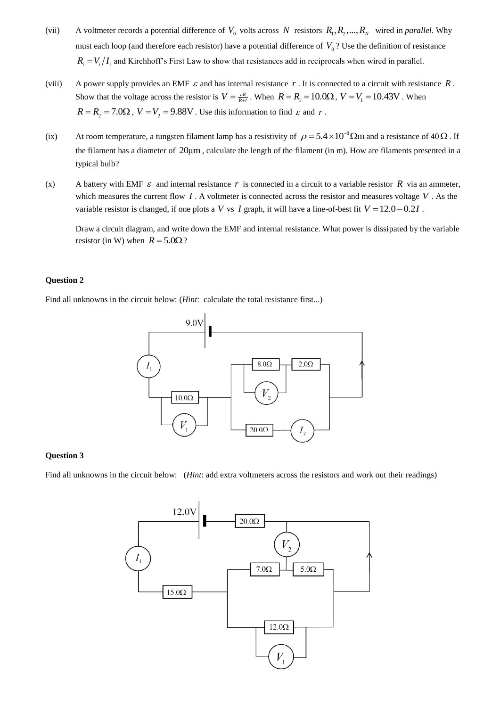- (vii) A voltmeter records a potential difference of  $V_0$  volts across N resistors  $R_1, R_2, ..., R_N$  wired in *parallel*. Why must each loop (and therefore each resistor) have a potential difference of  $V_0$ ? Use the definition of resistance  $R_i = V_i / I_i$  and Kirchhoff's First Law to show that resistances add in reciprocals when wired in parallel.
- (viii) A power supply provides an EMF  $\varepsilon$  and has internal resistance  $r$ . It is connected to a circuit with resistance  $R$ . Show that the voltage across the resistor is  $V = \frac{\varepsilon R}{R+r}$ . When  $R = R_1 = 10.0 \Omega$ ,  $V = V_1 = 10.43$ V. When  $R = R_2 = 7.0\Omega$ ,  $V = V_2 = 9.88$ V. Use this information to find  $\varepsilon$  and r.
- (ix) At room temperature, a tungsten filament lamp has a resistivity of  $\rho = 5.4 \times 10^{-8} \Omega m$  and a resistance of 40  $\Omega$ . If the filament has a diameter of 20μm, calculate the length of the filament (in m). How are filaments presented in a typical bulb?
- (x) A battery with EMF  $\varepsilon$  and internal resistance r is connected in a circuit to a variable resistor R via an ammeter, which measures the current flow  $I$ . A voltmeter is connected across the resistor and measures voltage  $V$ . As the variable resistor is changed, if one plots a V vs I graph, it will have a line-of-best fit  $V = 12.0 - 0.2I$ .

Draw a circuit diagram, and write down the EMF and internal resistance. What power is dissipated by the variable resistor (in W) when  $R = 5.0\Omega$ ?

# **Question 2**

Find all unknowns in the circuit below: (*Hint*: calculate the total resistance first...)



# **Question 3**

Find all unknowns in the circuit below: (*Hint*: add extra voltmeters across the resistors and work out their readings)

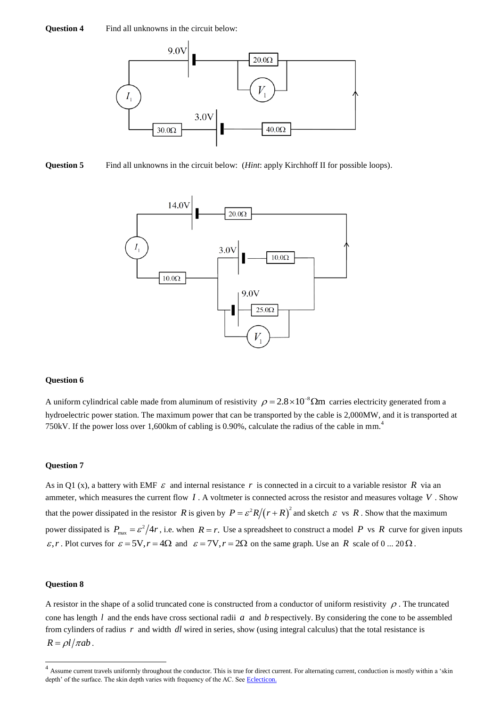

**Question 5** Find all unknowns in the circuit below: (*Hint*: apply Kirchhoff II for possible loops).



### **Question 6**

A uniform cylindrical cable made from aluminum of resistivity  $\rho = 2.8 \times 10^{-8} \Omega m$  carries electricity generated from a hydroelectric power station. The maximum power that can be transported by the cable is 2,000MW, and it is transported at 750kV. If the power loss over 1,600km of cabling is 0.90%, calculate the radius of the cable in mm.<sup>4</sup>

### **Question 7**

As in Q1 (x), a battery with EMF  $\varepsilon$  and internal resistance r is connected in a circuit to a variable resistor R via an ammeter, which measures the current flow  $I$ . A voltmeter is connected across the resistor and measures voltage  $V$ . Show that the power dissipated in the resistor R is given by  $P = \frac{\varepsilon^2 R}{r + R}^2$  and sketch  $\varepsilon$  vs R. Show that the maximum power dissipated is  $P_{\text{max}} = \frac{\varepsilon^2}{4r}$ , i.e. when  $R = r$ . Use a spreadsheet to construct a model P vs R curve for given inputs  $\varepsilon$ ,*r*. Plot curves for  $\varepsilon = 5V$ ,  $r = 4\Omega$  and  $\varepsilon = 7V$ ,  $r = 2\Omega$  on the same graph. Use an *R* scale of 0 ... 20  $\Omega$ .

## **Question 8**

 $\overline{a}$ 

A resistor in the shape of a solid truncated cone is constructed from a conductor of uniform resistivity  $\rho$ . The truncated cone has length  $l$  and the ends have cross sectional radii  $a$  and  $b$  respectively. By considering the cone to be assembled from cylinders of radius r and width dl wired in series, show (using integral calculus) that the total resistance is  $R = \rho l / \pi a b$ .

 $<sup>4</sup>$  Assume current travels uniformly throughout the conductor. This is true for direct current. For alternating current, conduction is mostly within a 'skin</sup> depth' of the surface. The skin depth varies with frequency of the AC. See [Eclecticon.](http://www.eclecticon.info/index_htm_files/Electrica%20power%20generation%20&%20transmission.pdf)